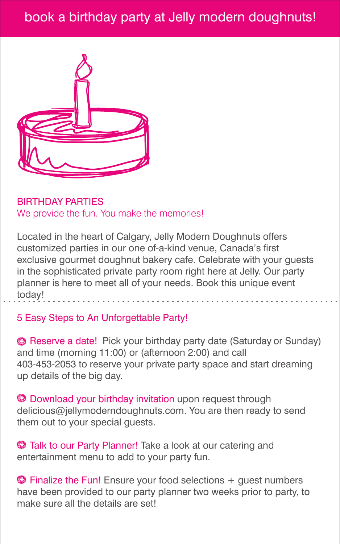## book a birthday party at Jelly modern doughnuts!



BIRTHDAY PARTIES We provide the fun. You make the memories!

Located in the heart of Calgary, Jelly Modern Doughnuts offers customized parties in our one of-a-kind venue, Canada's first exclusive gourmet doughnut bakery cafe. Celebrate with your guests in the sophisticated private party room right here at Jelly. Our party planner is here to meet all of your needs. Book this unique event today!

## 5 Easy Steps to An Unforgettable Party!

**B** Reserve a date! Pick your birthday party date (Saturday or Sunday) and time (morning 11:00) or (afternoon 2:00) and call 403-453-2053 to reserve your private party space and start dreaming up details of the big day.

 $\bullet$  Download your birthday invitation upon request through delicious@jellymoderndoughnuts.com. You are then ready to send them out to your special guests.

**Talk to our Party Planner!** Take a look at our catering and entertainment menu to add to your party fun.

 $\bullet$  Finalize the Fun! Ensure your food selections  $+$  guest numbers have been provided to our party planner two weeks prior to party, to make sure all the details are set!